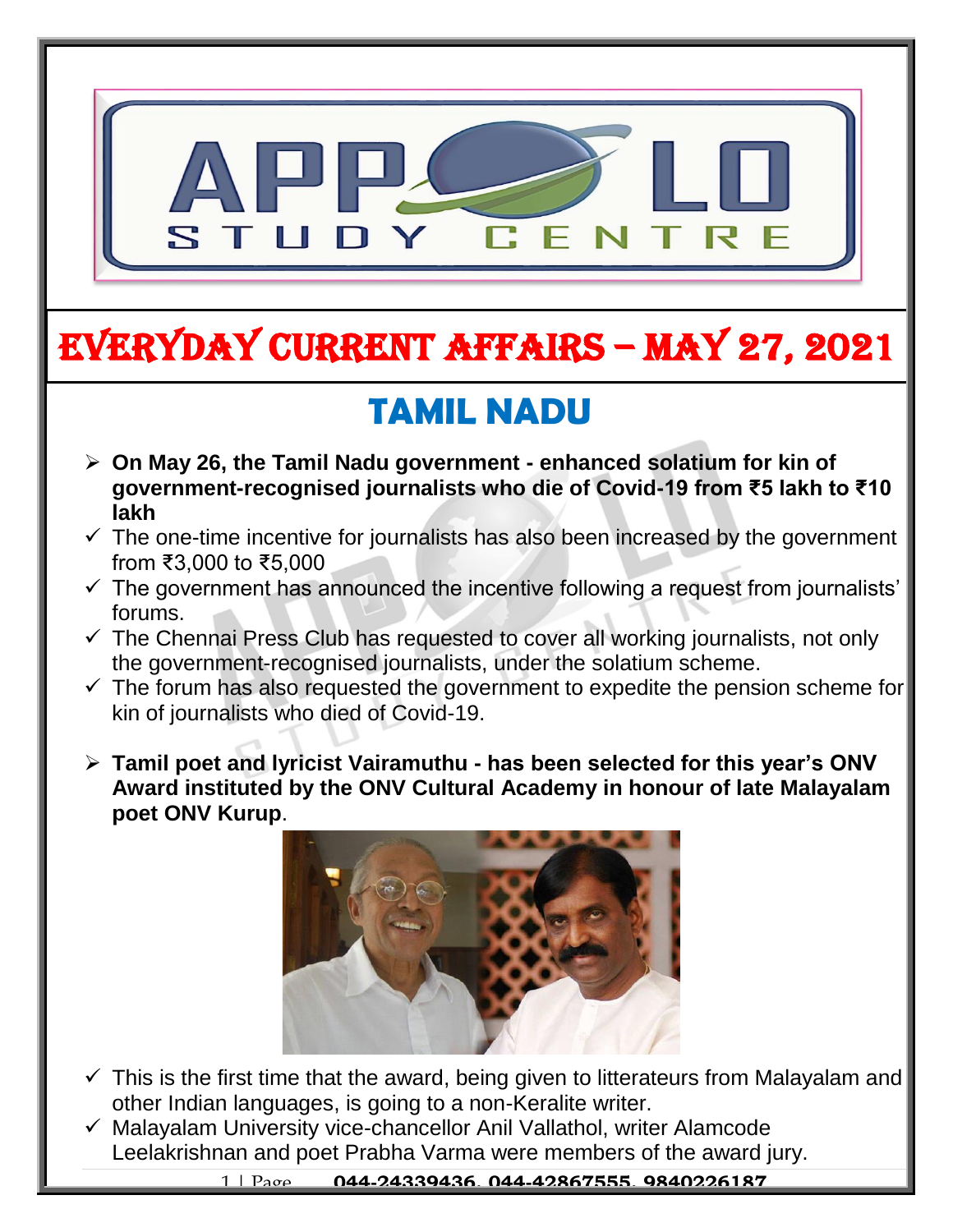

# EVERYDAY CURRENT AFFAIRS – MAY 27, 2021

## **TAMIL NADU**

-

- **On May 26, the Tamil Nadu government - enhanced solatium for kin of government-recognised journalists who die of Covid-19 from ₹5 lakh to ₹10 lakh**
- $\checkmark$  The one-time incentive for journalists has also been increased by the government from ₹3,000 to ₹5,000
- $\checkmark$  The government has announced the incentive following a request from journalists' forums.
- $\checkmark$  The Chennai Press Club has requested to cover all working journalists, not only the government-recognised journalists, under the solatium scheme.
- $\checkmark$  The forum has also requested the government to expedite the pension scheme for kin of journalists who died of Covid-19.
- **Tamil poet and lyricist Vairamuthu - has been selected for this year's ONV Award instituted by the ONV Cultural Academy in honour of late Malayalam poet ONV Kurup**.



- $\checkmark$  This is the first time that the award, being given to litterateurs from Malayalam and other Indian languages, is going to a non-Keralite writer.
- $\checkmark$  Malayalam University vice-chancellor Anil Vallathol, writer Alamcode Leelakrishnan and poet Prabha Varma were members of the award jury.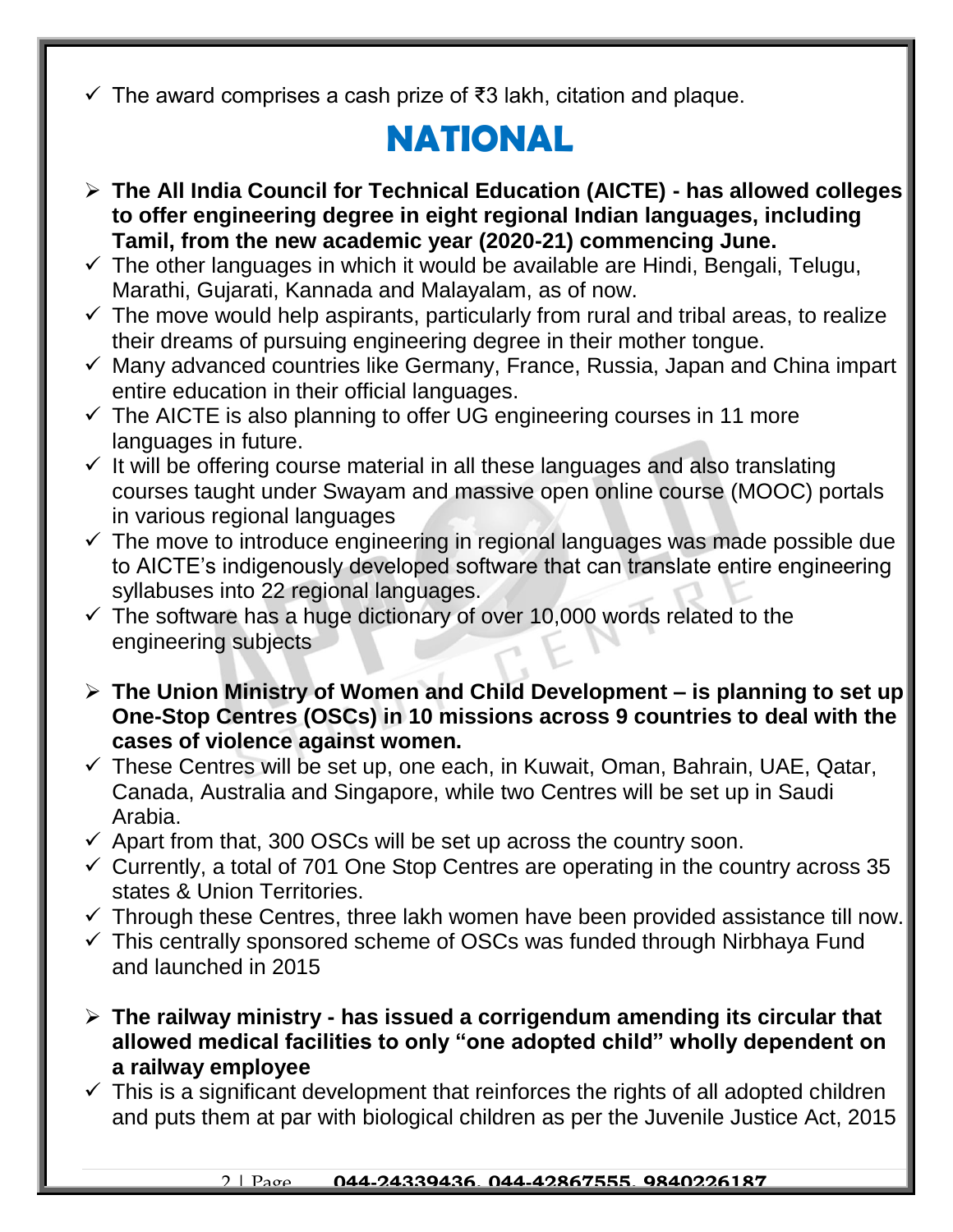$\checkmark$  The award comprises a cash prize of ₹3 lakh, citation and plaque.

### **NATIONAL**

- **The All India Council for Technical Education (AICTE) - has allowed colleges to offer engineering degree in eight regional Indian languages, including Tamil, from the new academic year (2020-21) commencing June.**
- $\checkmark$  The other languages in which it would be available are Hindi, Bengali, Telugu, Marathi, Gujarati, Kannada and Malayalam, as of now.
- $\checkmark$  The move would help aspirants, particularly from rural and tribal areas, to realize their dreams of pursuing engineering degree in their mother tongue.
- $\checkmark$  Many advanced countries like Germany, France, Russia, Japan and China impart entire education in their official languages.
- $\checkmark$  The AICTE is also planning to offer UG engineering courses in 11 more languages in future.
- $\checkmark$  It will be offering course material in all these languages and also translating courses taught under Swayam and massive open online course (MOOC) portals in various regional languages
- $\checkmark$  The move to introduce engineering in regional languages was made possible due to AICTE's indigenously developed software that can translate entire engineering syllabuses into 22 regional languages.
- $\checkmark$  The software has a huge dictionary of over 10,000 words related to the engineering subjects
- **The Union Ministry of Women and Child Development – is planning to set up One-Stop Centres (OSCs) in 10 missions across 9 countries to deal with the cases of violence against women.**
- $\checkmark$  These Centres will be set up, one each, in Kuwait, Oman, Bahrain, UAE, Qatar, Canada, Australia and Singapore, while two Centres will be set up in Saudi Arabia.
- $\checkmark$  Apart from that, 300 OSCs will be set up across the country soon.
- $\checkmark$  Currently, a total of 701 One Stop Centres are operating in the country across 35 states & Union Territories.
- $\checkmark$  Through these Centres, three lakh women have been provided assistance till now.
- $\checkmark$  This centrally sponsored scheme of OSCs was funded through Nirbhaya Fund and launched in 2015
- **The railway ministry - has issued a corrigendum amending its circular that allowed medical facilities to only "one adopted child" wholly dependent on a railway employee**
- $\checkmark$  This is a significant development that reinforces the rights of all adopted children and puts them at par with biological children as per the Juvenile Justice Act, 2015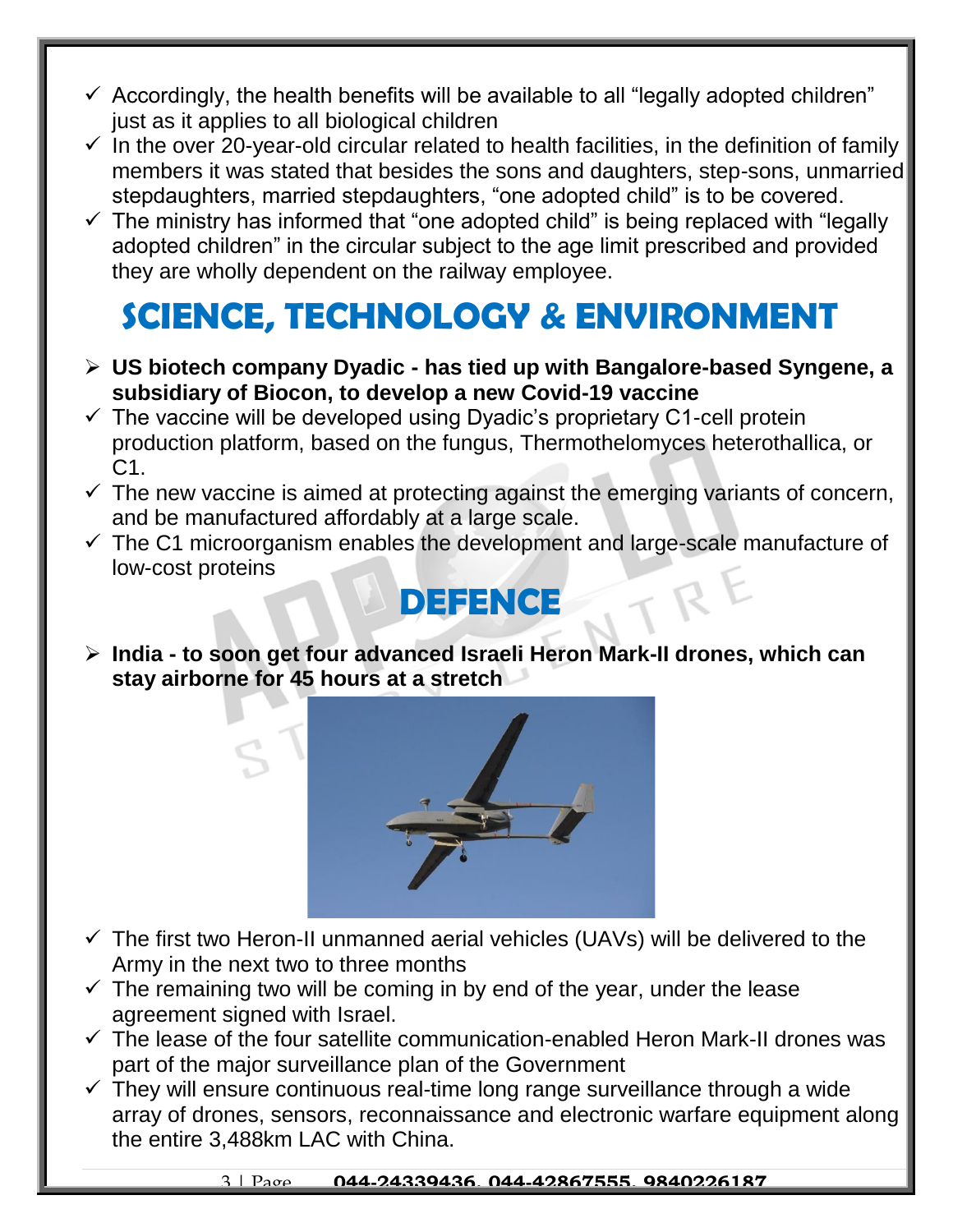- $\checkmark$  Accordingly, the health benefits will be available to all "legally adopted children" just as it applies to all biological children
- $\checkmark$  In the over 20-year-old circular related to health facilities, in the definition of family members it was stated that besides the sons and daughters, step-sons, unmarried stepdaughters, married stepdaughters, "one adopted child" is to be covered.
- $\checkmark$  The ministry has informed that "one adopted child" is being replaced with "legally adopted children" in the circular subject to the age limit prescribed and provided they are wholly dependent on the railway employee.

#### **SCIENCE, TECHNOLOGY & ENVIRONMENT**

- **US biotech company Dyadic - has tied up with Bangalore-based Syngene, a subsidiary of Biocon, to develop a new Covid-19 vaccine**
- $\checkmark$  The vaccine will be developed using Dyadic's proprietary C1-cell protein production platform, based on the fungus, Thermothelomyces heterothallica, or C1.
- $\checkmark$  The new vaccine is aimed at protecting against the emerging variants of concern, and be manufactured affordably at a large scale.
- $\checkmark$  The C1 microorganism enables the development and large-scale manufacture of low-cost proteins

#### **DEFENCE**

 **India - to soon get four advanced Israeli Heron Mark-II drones, which can stay airborne for 45 hours at a stretch**



- $\checkmark$  The first two Heron-II unmanned aerial vehicles (UAVs) will be delivered to the Army in the next two to three months
- $\checkmark$  The remaining two will be coming in by end of the year, under the lease agreement signed with Israel.
- $\checkmark$  The lease of the four satellite communication-enabled Heron Mark-II drones was part of the major surveillance plan of the Government
- $\checkmark$  They will ensure continuous real-time long range surveillance through a wide array of drones, sensors, reconnaissance and electronic warfare equipment along the entire 3,488km LAC with China.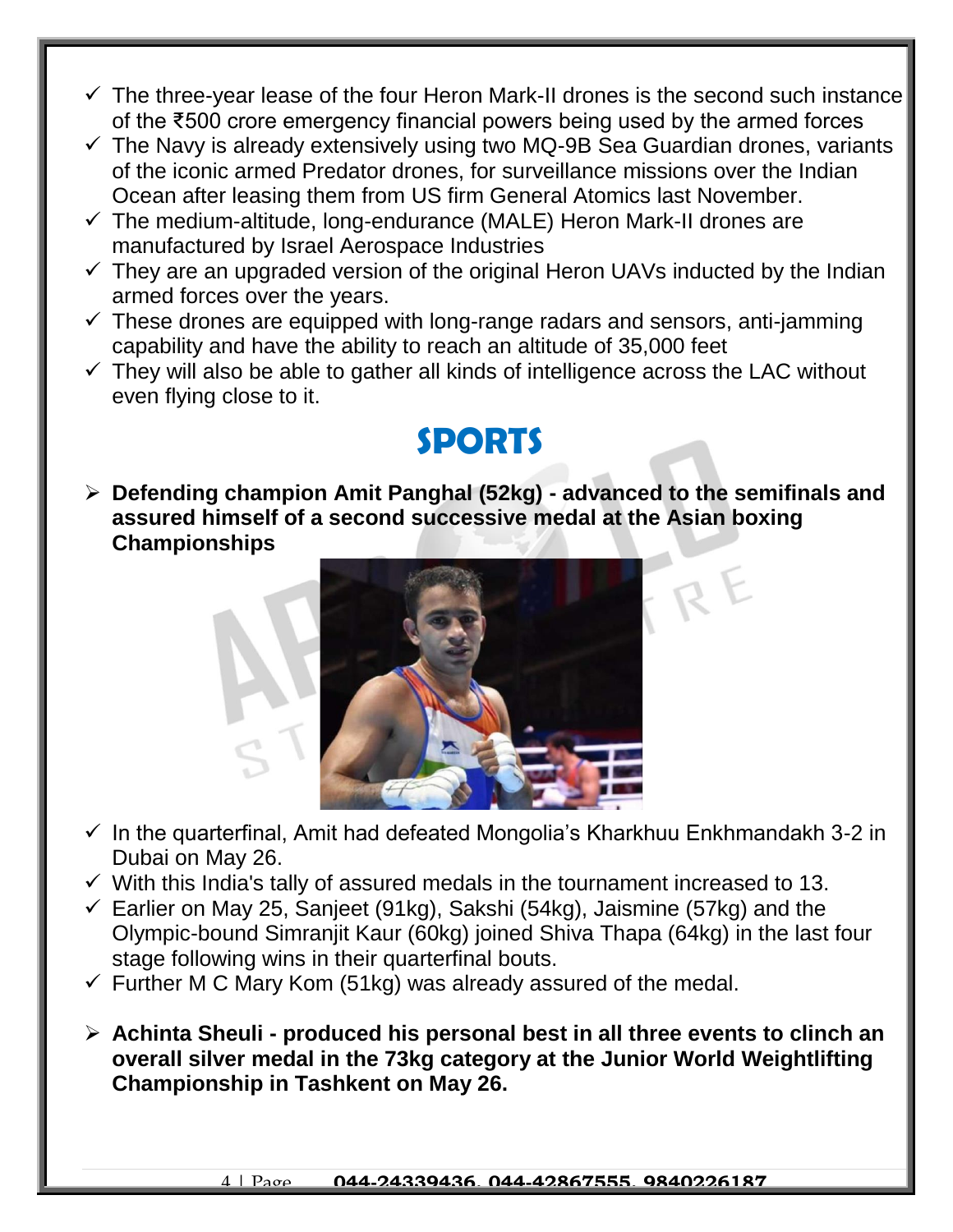- $\checkmark$  The three-year lease of the four Heron Mark-II drones is the second such instance of the ₹500 crore emergency financial powers being used by the armed forces
- $\checkmark$  The Navy is already extensively using two MQ-9B Sea Guardian drones, variants of the iconic armed Predator drones, for surveillance missions over the Indian Ocean after leasing them from US firm General Atomics last November.
- $\checkmark$  The medium-altitude, long-endurance (MALE) Heron Mark-II drones are manufactured by Israel Aerospace Industries
- $\checkmark$  They are an upgraded version of the original Heron UAVs inducted by the Indian armed forces over the years.
- $\checkmark$  These drones are equipped with long-range radars and sensors, anti-jamming capability and have the ability to reach an altitude of 35,000 feet
- $\checkmark$  They will also be able to gather all kinds of intelligence across the LAC without even flying close to it.

#### **SPORTS**

 **Defending champion Amit Panghal (52kg) - advanced to the semifinals and assured himself of a second successive medal at the Asian boxing Championships** 



- $\checkmark$  In the quarterfinal, Amit had defeated Mongolia's Kharkhuu Enkhmandakh 3-2 in Dubai on May 26.
- $\checkmark$  With this India's tally of assured medals in the tournament increased to 13.
- $\checkmark$  Earlier on May 25, Sanjeet (91kg), Sakshi (54kg), Jaismine (57kg) and the Olympic-bound Simranjit Kaur (60kg) joined Shiva Thapa (64kg) in the last four stage following wins in their quarterfinal bouts.
- $\checkmark$  Further M C Mary Kom (51kg) was already assured of the medal.
- **Achinta Sheuli - produced his personal best in all three events to clinch an overall silver medal in the 73kg category at the Junior World Weightlifting Championship in Tashkent on May 26.**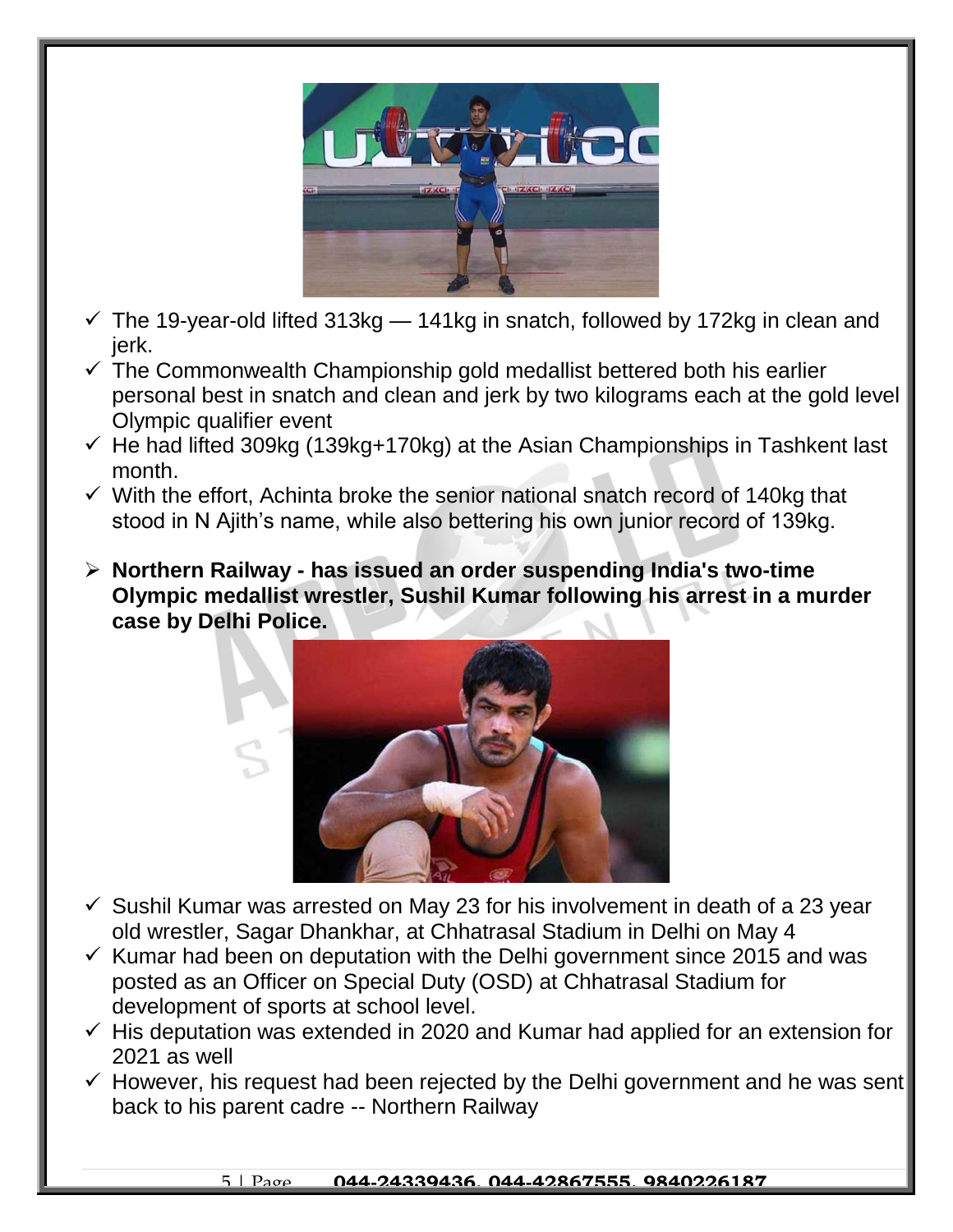

- $\checkmark$  The 19-year-old lifted 313kg 141kg in snatch, followed by 172kg in clean and jerk.
- $\checkmark$  The Commonwealth Championship gold medallist bettered both his earlier personal best in snatch and clean and jerk by two kilograms each at the gold level Olympic qualifier event
- $\checkmark$  He had lifted 309kg (139kg+170kg) at the Asian Championships in Tashkent last month.
- $\checkmark$  With the effort, Achinta broke the senior national snatch record of 140kg that stood in N Ajith's name, while also bettering his own junior record of 139kg.
- **Northern Railway - has issued an order suspending India's two-time Olympic medallist wrestler, Sushil Kumar following his arrest in a murder case by Delhi Police.**



- $\checkmark$  Sushil Kumar was arrested on May 23 for his involvement in death of a 23 year old wrestler, Sagar Dhankhar, at Chhatrasal Stadium in Delhi on May 4
- $\checkmark$  Kumar had been on deputation with the Delhi government since 2015 and was posted as an Officer on Special Duty (OSD) at Chhatrasal Stadium for development of sports at school level.
- $\checkmark$  His deputation was extended in 2020 and Kumar had applied for an extension for 2021 as well
- $\checkmark$  However, his request had been rejected by the Delhi government and he was sent back to his parent cadre -- Northern Railway